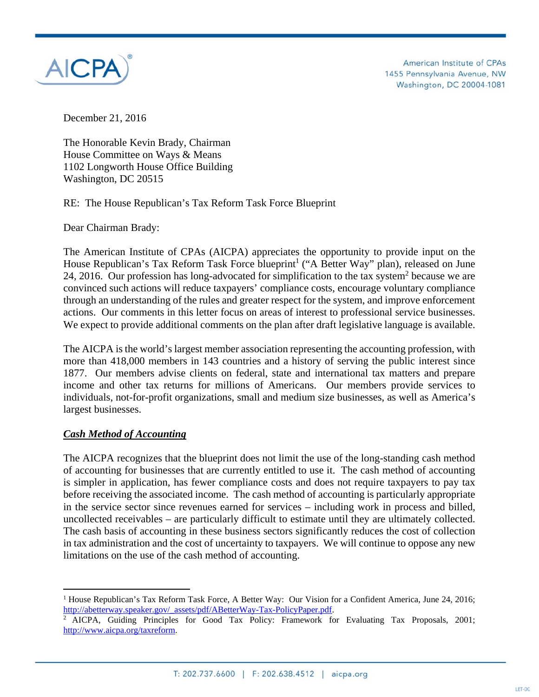

American Institute of CPAs 1455 Pennsylvania Avenue, NW Washington, DC 20004-1081

December 21, 2016

The Honorable Kevin Brady, Chairman House Committee on Ways & Means 1102 Longworth House Office Building Washington, DC 20515

RE: The House Republican's Tax Reform Task Force Blueprint

Dear Chairman Brady:

The American Institute of CPAs (AICPA) appreciates the opportunity to provide input on the House Republican's Tax Reform Task Force blueprint<sup>1</sup> ("A Better Way" plan), released on June 24, 2016. Our profession has long-advocated for simplification to the tax system<sup>2</sup> because we are convinced such actions will reduce taxpayers' compliance costs, encourage voluntary compliance through an understanding of the rules and greater respect for the system, and improve enforcement actions. Our comments in this letter focus on areas of interest to professional service businesses. We expect to provide additional comments on the plan after draft legislative language is available.

The AICPA is the world's largest member association representing the accounting profession, with more than 418,000 members in 143 countries and a history of serving the public interest since 1877. Our members advise clients on federal, state and international tax matters and prepare income and other tax returns for millions of Americans. Our members provide services to individuals, not-for-profit organizations, small and medium size businesses, as well as America's largest businesses.

### *Cash Method of Accounting*

The AICPA recognizes that the blueprint does not limit the use of the long-standing cash method of accounting for businesses that are currently entitled to use it. The cash method of accounting is simpler in application, has fewer compliance costs and does not require taxpayers to pay tax before receiving the associated income. The cash method of accounting is particularly appropriate in the service sector since revenues earned for services – including work in process and billed, uncollected receivables – are particularly difficult to estimate until they are ultimately collected. The cash basis of accounting in these business sectors significantly reduces the cost of collection in tax administration and the cost of uncertainty to taxpayers. We will continue to oppose any new limitations on the use of the cash method of accounting.

<sup>&</sup>lt;sup>1</sup> House Republican's Tax Reform Task Force, A Better Way: Our Vision for a Confident America, June 24, 2016; http://abetterway.speaker.gov/\_assets/pdf/ABetterWay-Tax-PolicyPaper.pdf.<br><sup>2</sup> AICPA, Guiding Principles for Good Tax Policy: Framework for Evaluating Tax Proposals, 2001;

http://www.aicpa.org/taxreform.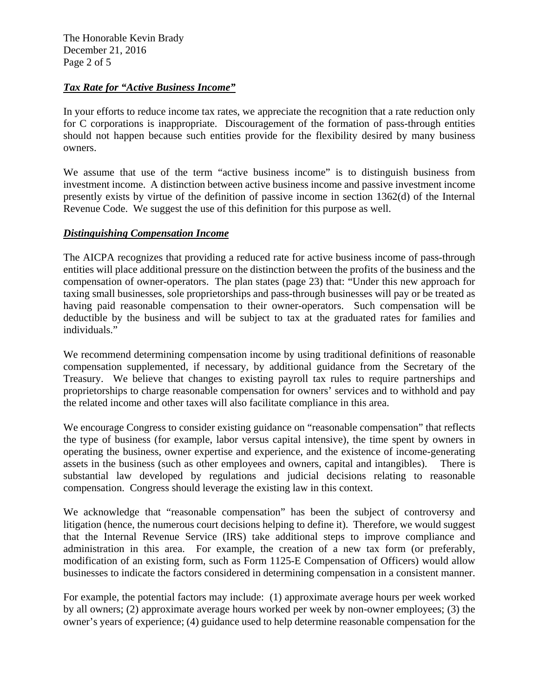The Honorable Kevin Brady December 21, 2016 Page 2 of 5

#### *Tax Rate for "Active Business Income"*

In your efforts to reduce income tax rates, we appreciate the recognition that a rate reduction only for C corporations is inappropriate. Discouragement of the formation of pass-through entities should not happen because such entities provide for the flexibility desired by many business owners.

We assume that use of the term "active business income" is to distinguish business from investment income. A distinction between active business income and passive investment income presently exists by virtue of the definition of passive income in section 1362(d) of the Internal Revenue Code. We suggest the use of this definition for this purpose as well.

#### *Distinguishing Compensation Income*

The AICPA recognizes that providing a reduced rate for active business income of pass-through entities will place additional pressure on the distinction between the profits of the business and the compensation of owner-operators. The plan states (page 23) that: "Under this new approach for taxing small businesses, sole proprietorships and pass-through businesses will pay or be treated as having paid reasonable compensation to their owner-operators. Such compensation will be deductible by the business and will be subject to tax at the graduated rates for families and individuals."

We recommend determining compensation income by using traditional definitions of reasonable compensation supplemented, if necessary, by additional guidance from the Secretary of the Treasury. We believe that changes to existing payroll tax rules to require partnerships and proprietorships to charge reasonable compensation for owners' services and to withhold and pay the related income and other taxes will also facilitate compliance in this area.

We encourage Congress to consider existing guidance on "reasonable compensation" that reflects the type of business (for example, labor versus capital intensive), the time spent by owners in operating the business, owner expertise and experience, and the existence of income-generating assets in the business (such as other employees and owners, capital and intangibles). There is substantial law developed by regulations and judicial decisions relating to reasonable compensation. Congress should leverage the existing law in this context.

We acknowledge that "reasonable compensation" has been the subject of controversy and litigation (hence, the numerous court decisions helping to define it). Therefore, we would suggest that the Internal Revenue Service (IRS) take additional steps to improve compliance and administration in this area. For example, the creation of a new tax form (or preferably, modification of an existing form, such as Form 1125-E Compensation of Officers) would allow businesses to indicate the factors considered in determining compensation in a consistent manner.

For example, the potential factors may include: (1) approximate average hours per week worked by all owners; (2) approximate average hours worked per week by non-owner employees; (3) the owner's years of experience; (4) guidance used to help determine reasonable compensation for the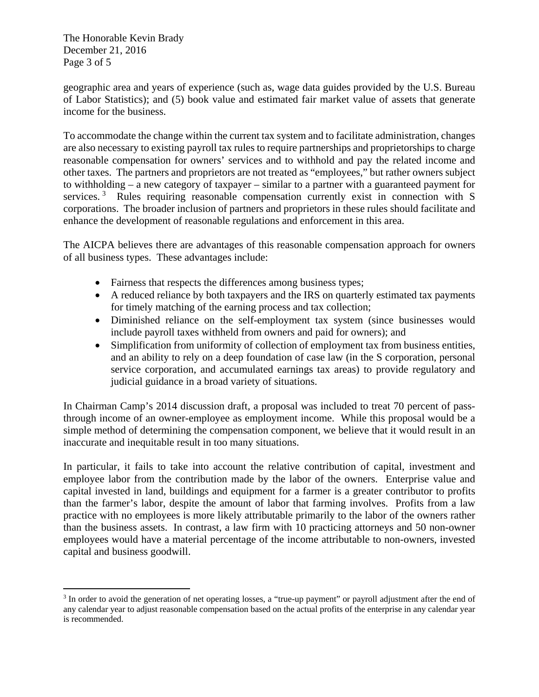The Honorable Kevin Brady December 21, 2016 Page 3 of 5

geographic area and years of experience (such as, wage data guides provided by the U.S. Bureau of Labor Statistics); and (5) book value and estimated fair market value of assets that generate income for the business.

To accommodate the change within the current tax system and to facilitate administration, changes are also necessary to existing payroll tax rules to require partnerships and proprietorships to charge reasonable compensation for owners' services and to withhold and pay the related income and other taxes. The partners and proprietors are not treated as "employees," but rather owners subject to withholding – a new category of taxpayer – similar to a partner with a guaranteed payment for services.<sup>3</sup> Rules requiring reasonable compensation currently exist in connection with S corporations. The broader inclusion of partners and proprietors in these rules should facilitate and enhance the development of reasonable regulations and enforcement in this area.

The AICPA believes there are advantages of this reasonable compensation approach for owners of all business types. These advantages include:

- Fairness that respects the differences among business types;
- A reduced reliance by both taxpayers and the IRS on quarterly estimated tax payments for timely matching of the earning process and tax collection;
- Diminished reliance on the self-employment tax system (since businesses would include payroll taxes withheld from owners and paid for owners); and
- Simplification from uniformity of collection of employment tax from business entities, and an ability to rely on a deep foundation of case law (in the S corporation, personal service corporation, and accumulated earnings tax areas) to provide regulatory and judicial guidance in a broad variety of situations.

In Chairman Camp's 2014 discussion draft, a proposal was included to treat 70 percent of passthrough income of an owner-employee as employment income. While this proposal would be a simple method of determining the compensation component, we believe that it would result in an inaccurate and inequitable result in too many situations.

In particular, it fails to take into account the relative contribution of capital, investment and employee labor from the contribution made by the labor of the owners. Enterprise value and capital invested in land, buildings and equipment for a farmer is a greater contributor to profits than the farmer's labor, despite the amount of labor that farming involves. Profits from a law practice with no employees is more likely attributable primarily to the labor of the owners rather than the business assets. In contrast, a law firm with 10 practicing attorneys and 50 non-owner employees would have a material percentage of the income attributable to non-owners, invested capital and business goodwill.

<sup>&</sup>lt;sup>3</sup> In order to avoid the generation of net operating losses, a "true-up payment" or payroll adjustment after the end of any calendar year to adjust reasonable compensation based on the actual profits of the enterprise in any calendar year is recommended.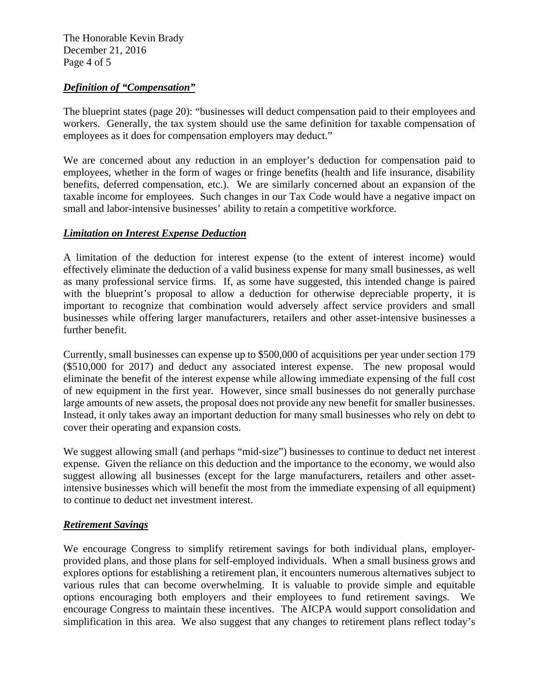The Honorable Kevin Brady December 21, 2016 Page 4 of 5

## *Definition of "Compensation"*

The blueprint states (page 20): "businesses will deduct compensation paid to their employees and workers. Generally, the tax system should use the same definition for taxable compensation of employees as it does for compensation employers may deduct."

We are concerned about any reduction in an employer's deduction for compensation paid to employees, whether in the form of wages or fringe benefits (health and life insurance, disability benefits, deferred compensation, etc.). We are similarly concerned about an expansion of the taxable income for employees. Such changes in our Tax Code would have a negative impact on small and labor-intensive businesses' ability to retain a competitive workforce.

## *Limitation on Interest Expense Deduction*

A limitation of the deduction for interest expense (to the extent of interest income) would effectively eliminate the deduction of a valid business expense for many small businesses, as well as many professional service firms. If, as some have suggested, this intended change is paired with the blueprint's proposal to allow a deduction for otherwise depreciable property, it is important to recognize that combination would adversely affect service providers and small businesses while offering larger manufacturers, retailers and other asset-intensive businesses a further benefit.

Currently, small businesses can expense up to \$500,000 of acquisitions per year under section 179 (\$510,000 for 2017) and deduct any associated interest expense. The new proposal would eliminate the benefit of the interest expense while allowing immediate expensing of the full cost of new equipment in the first year. However, since small businesses do not generally purchase large amounts of new assets, the proposal does not provide any new benefit for smaller businesses. Instead, it only takes away an important deduction for many small businesses who rely on debt to cover their operating and expansion costs.

We suggest allowing small (and perhaps "mid-size") businesses to continue to deduct net interest expense. Given the reliance on this deduction and the importance to the economy, we would also suggest allowing all businesses (except for the large manufacturers, retailers and other assetintensive businesses which will benefit the most from the immediate expensing of all equipment) to continue to deduct net investment interest.

# *Retirement Savings*

We encourage Congress to simplify retirement savings for both individual plans, employerprovided plans, and those plans for self-employed individuals. When a small business grows and explores options for establishing a retirement plan, it encounters numerous alternatives subject to various rules that can become overwhelming. It is valuable to provide simple and equitable options encouraging both employers and their employees to fund retirement savings. We encourage Congress to maintain these incentives. The AICPA would support consolidation and simplification in this area. We also suggest that any changes to retirement plans reflect today's